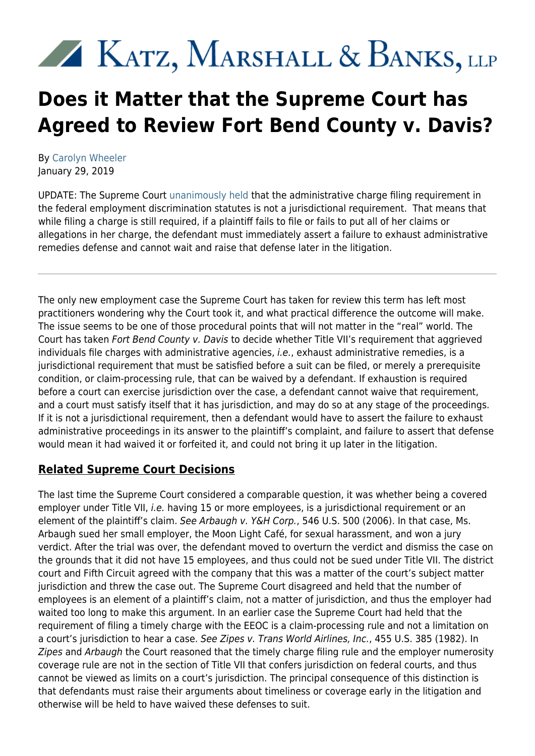# KATZ, MARSHALL & BANKS, LLP

## **Does it Matter that the Supreme Court has Agreed to Review Fort Bend County v. Davis?**

By [Carolyn Wheeler](https://www.kmblegal.com/attorneys-and-staff/carolyn-wheeler) January 29, 2019

UPDATE: The Supreme Court [unanimously held](https://www.supremecourt.gov/opinions/18pdf/18-525_m6hn.pdf) that the administrative charge filing requirement in the federal employment discrimination statutes is not a jurisdictional requirement. That means that while filing a charge is still required, if a plaintiff fails to file or fails to put all of her claims or allegations in her charge, the defendant must immediately assert a failure to exhaust administrative remedies defense and cannot wait and raise that defense later in the litigation.

The only new employment case the Supreme Court has taken for review this term has left most practitioners wondering why the Court took it, and what practical difference the outcome will make. The issue seems to be one of those procedural points that will not matter in the "real" world. The Court has taken Fort Bend County v. Davis to decide whether Title VII's requirement that aggrieved individuals file charges with administrative agencies, i.e., exhaust administrative remedies, is a jurisdictional requirement that must be satisfied before a suit can be filed, or merely a prerequisite condition, or claim-processing rule, that can be waived by a defendant. If exhaustion is required before a court can exercise jurisdiction over the case, a defendant cannot waive that requirement, and a court must satisfy itself that it has jurisdiction, and may do so at any stage of the proceedings. If it is not a jurisdictional requirement, then a defendant would have to assert the failure to exhaust administrative proceedings in its answer to the plaintiff's complaint, and failure to assert that defense would mean it had waived it or forfeited it, and could not bring it up later in the litigation.

### **Related Supreme Court Decisions**

The last time the Supreme Court considered a comparable question, it was whether being a covered employer under Title VII, *i.e.* having 15 or more employees, is a jurisdictional requirement or an element of the plaintiff's claim. See Arbaugh v. Y&H Corp., 546 U.S. 500 (2006). In that case, Ms. Arbaugh sued her small employer, the Moon Light Café, for sexual harassment, and won a jury verdict. After the trial was over, the defendant moved to overturn the verdict and dismiss the case on the grounds that it did not have 15 employees, and thus could not be sued under Title VII. The district court and Fifth Circuit agreed with the company that this was a matter of the court's subject matter jurisdiction and threw the case out. The Supreme Court disagreed and held that the number of employees is an element of a plaintiff's claim, not a matter of jurisdiction, and thus the employer had waited too long to make this argument. In an earlier case the Supreme Court had held that the requirement of filing a timely charge with the EEOC is a claim-processing rule and not a limitation on a court's jurisdiction to hear a case. See Zipes v. Trans World Airlines, Inc., 455 U.S. 385 (1982). In Zipes and Arbaugh the Court reasoned that the timely charge filing rule and the employer numerosity coverage rule are not in the section of Title VII that confers jurisdiction on federal courts, and thus cannot be viewed as limits on a court's jurisdiction. The principal consequence of this distinction is that defendants must raise their arguments about timeliness or coverage early in the litigation and otherwise will be held to have waived these defenses to suit.